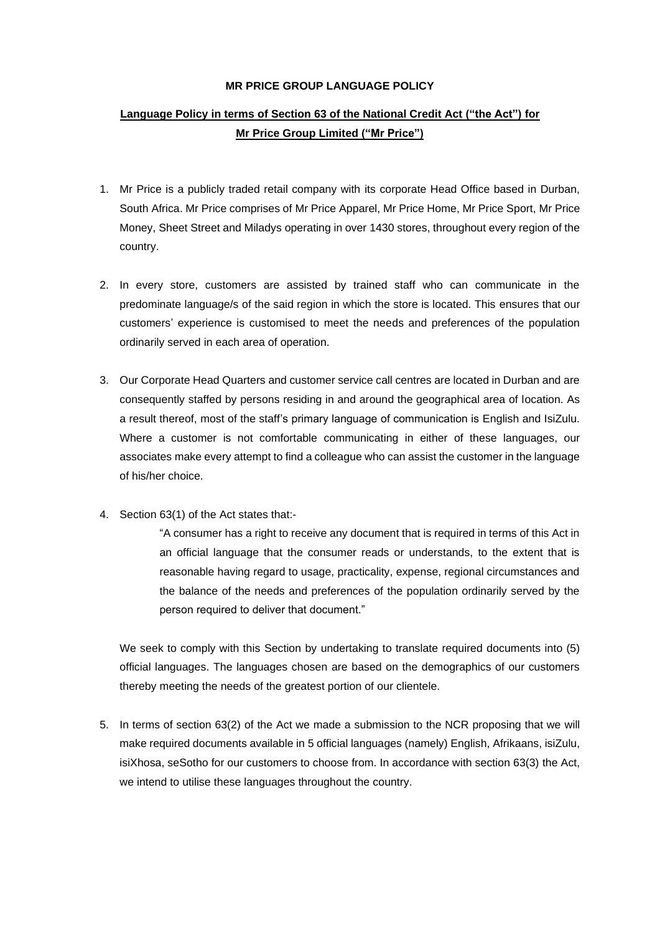## **MR PRICE GROUP LANGUAGE POLICY**

## **Language Policy in terms of Section 63 of the National Credit Act ("the Act") for Mr Price Group Limited ("Mr Price")**

- 1. Mr Price is a publicly traded retail company with its corporate Head Office based in Durban, South Africa. Mr Price comprises of Mr Price Apparel, Mr Price Home, Mr Price Sport, Mr Price Money, Sheet Street and Miladys operating in over 1430 stores, throughout every region of the country.
- 2. In every store, customers are assisted by trained staff who can communicate in the predominate language/s of the said region in which the store is located. This ensures that our customers' experience is customised to meet the needs and preferences of the population ordinarily served in each area of operation.
- 3. Our Corporate Head Quarters and customer service call centres are located in Durban and are consequently staffed by persons residing in and around the geographical area of location. As a result thereof, most of the staff's primary language of communication is English and IsiZulu. Where a customer is not comfortable communicating in either of these languages, our associates make every attempt to find a colleague who can assist the customer in the language of his/her choice.
- 4. Section 63(1) of the Act states that:-

"A consumer has a right to receive any document that is required in terms of this Act in an official language that the consumer reads or understands, to the extent that is reasonable having regard to usage, practicality, expense, regional circumstances and the balance of the needs and preferences of the population ordinarily served by the person required to deliver that document."

We seek to comply with this Section by undertaking to translate required documents into (5) official languages. The languages chosen are based on the demographics of our customers thereby meeting the needs of the greatest portion of our clientele.

5. In terms of section 63(2) of the Act we made a submission to the NCR proposing that we will make required documents available in 5 official languages (namely) English, Afrikaans, isiZulu, isiXhosa, seSotho for our customers to choose from. In accordance with section 63(3) the Act, we intend to utilise these languages throughout the country.